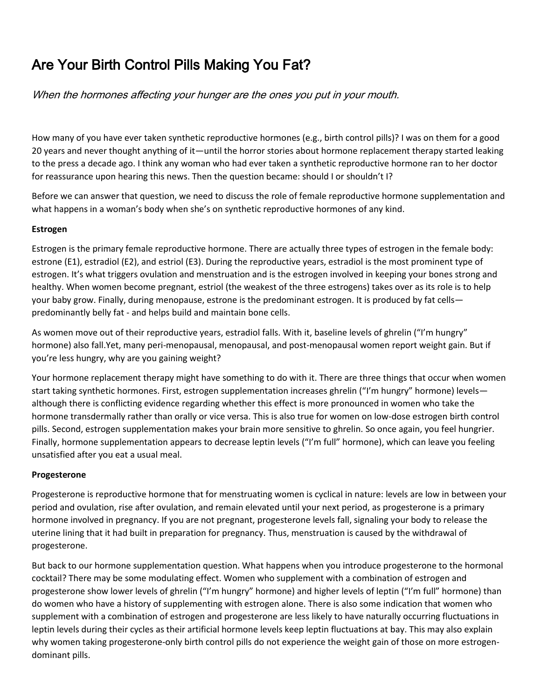# Are Your Birth Control Pills Making You Fat?

When the hormones affecting your hunger are the ones you put in your mouth.

How many of you have ever taken synthetic reproductive hormones (e.g., birth control pills)? I was on them for a good 20 years and never thought anything of it—until the horror stories about hormone replacement therapy started leaking to the press a decade ago. I think any woman who had ever taken a synthetic reproductive hormone ran to her doctor for reassurance upon hearing this news. Then the question became: should I or shouldn't I?

Before we can answer that question, we need to discuss the role of female reproductive hormone supplementation and what happens in a woman's body when she's on synthetic reproductive hormones of any kind.

## **Estrogen**

Estrogen is the primary female reproductive hormone. There are actually three types of estrogen in the female body: estrone (E1), estradiol (E2), and estriol (E3). During the reproductive years, estradiol is the most prominent type of estrogen. It's what triggers ovulation and menstruation and is the estrogen involved in keeping your bones strong and healthy. When women become pregnant, estriol (the weakest of the three estrogens) takes over as its role is to help your baby grow. Finally, during menopause, estrone is the predominant estrogen. It is produced by fat cells predominantly belly fat - and helps build and maintain bone cells.

As women move out of their reproductive years, estradiol falls. With it, baseline levels of ghrelin ("I'm hungry" hormone) also fall.Yet, many peri-menopausal, menopausal, and post-menopausal women report weight gain. But if you're less hungry, why are you gaining weight?

Your hormone replacement therapy might have something to do with it. There are three things that occur when women start taking synthetic hormones. First, estrogen supplementation increases ghrelin ("I'm hungry" hormone) levels although there is conflicting evidence regarding whether this effect is more pronounced in women who take the hormone transdermally rather than orally or vice versa. This is also true for women on low-dose estrogen birth control pills. Second, estrogen supplementation makes your brain more sensitive to ghrelin. So once again, you feel hungrier. Finally, hormone supplementation appears to decrease leptin levels ("I'm full" hormone), which can leave you feeling unsatisfied after you eat a usual meal.

### **Progesterone**

Progesterone is reproductive hormone that for menstruating women is cyclical in nature: levels are low in between your period and ovulation, rise after ovulation, and remain elevated until your next period, as progesterone is a primary hormone involved in pregnancy. If you are not pregnant, progesterone levels fall, signaling your body to release the uterine lining that it had built in preparation for pregnancy. Thus, menstruation is caused by the withdrawal of progesterone.

But back to our hormone supplementation question. What happens when you introduce progesterone to the hormonal cocktail? There may be some modulating effect. Women who supplement with a combination of estrogen and progesterone show lower levels of ghrelin ("I'm hungry" hormone) and higher levels of leptin ("I'm full" hormone) than do women who have a history of supplementing with estrogen alone. There is also some indication that women who supplement with a combination of estrogen and progesterone are less likely to have naturally occurring fluctuations in leptin levels during their cycles as their artificial hormone levels keep leptin fluctuations at bay. This may also explain why women taking progesterone-only birth control pills do not experience the weight gain of those on more estrogendominant pills.